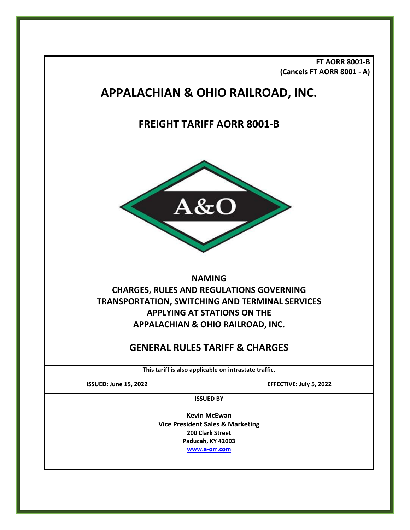**FT AORR 8001-B (Cancels FT AORR 8001 - A)**

# **APPALACHIAN & OHIO RAILROAD, INC.**

# **FREIGHT TARIFF AORR 8001-B**



# **NAMING CHARGES, RULES AND REGULATIONS GOVERNING TRANSPORTATION, SWITCHING AND TERMINAL SERVICES APPLYING AT STATIONS ON THE APPALACHIAN & OHIO RAILROAD, INC.**

# **GENERAL RULES TARIFF & CHARGES**

**This tariff is also applicable on intrastate traffic.**

**ISSUED: June 15, 2022 EFFECTIVE: July 5, 2022**

**ISSUED BY**

**Kevin McEwan Vice President Sales & Marketing 200 Clark Street Paducah, KY 42003 [www.a-orr.com](http://www.a-orr.com/)**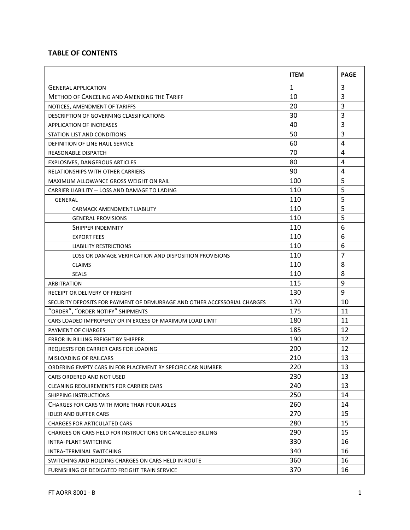### **TABLE OF CONTENTS**

|                                                                          | <b>ITEM</b>  | <b>PAGE</b>    |
|--------------------------------------------------------------------------|--------------|----------------|
| <b>GENERAL APPLICATION</b>                                               | $\mathbf{1}$ | 3              |
| <b>METHOD OF CANCELING AND AMENDING THE TARIFF</b>                       | 10           | $\overline{3}$ |
| NOTICES, AMENDMENT OF TARIFFS                                            | 20           | 3              |
| DESCRIPTION OF GOVERNING CLASSIFICATIONS                                 | 30           | 3              |
| <b>APPLICATION OF INCREASES</b>                                          | 40           | 3              |
| STATION LIST AND CONDITIONS                                              | 50           | 3              |
| DEFINITION OF LINE HAUL SERVICE                                          | 60           | 4              |
| REASONABLE DISPATCH                                                      | 70           | 4              |
| EXPLOSIVES, DANGEROUS ARTICLES                                           | 80           | $\overline{4}$ |
| RELATIONSHIPS WITH OTHER CARRIERS                                        | 90           | 4              |
| MAXIMUM ALLOWANCE GROSS WEIGHT ON RAIL                                   | 100          | 5              |
| CARRIER LIABILITY - LOSS AND DAMAGE TO LADING                            | 110          | 5              |
| <b>GENERAL</b>                                                           | 110          | 5              |
| CARMACK AMENDMENT LIABILITY                                              | 110          | 5              |
| <b>GENERAL PROVISIONS</b>                                                | 110          | 5              |
| SHIPPER INDEMNITY                                                        | 110          | 6              |
| <b>EXPORT FEES</b>                                                       | 110          | 6              |
| <b>LIABILITY RESTRICTIONS</b>                                            | 110          | 6              |
| LOSS OR DAMAGE VERIFICATION AND DISPOSITION PROVISIONS                   | 110          | $\overline{7}$ |
| <b>CLAIMS</b>                                                            | 110          | 8              |
| <b>SEALS</b>                                                             | 110          | 8              |
| ARBITRATION                                                              | 115          | 9              |
| RECEIPT OR DELIVERY OF FREIGHT                                           | 130          | 9              |
| SECURITY DEPOSITS FOR PAYMENT OF DEMURRAGE AND OTHER ACCESSORIAL CHARGES | 170          | 10             |
| "ORDER", "ORDER NOTIFY" SHIPMENTS                                        | 175          | 11             |
| CARS LOADED IMPROPERLY OR IN EXCESS OF MAXIMUM LOAD LIMIT                | 180          | 11             |
| PAYMENT OF CHARGES                                                       | 185          | 12             |
| ERROR IN BILLING FREIGHT BY SHIPPER                                      | 190          | 12             |
| <b>REQUESTS FOR CARRIER CARS FOR LOADING</b>                             | 200          | 12             |
| MISLOADING OF RAILCARS                                                   | 210          | 13             |
| ORDERING EMPTY CARS IN FOR PLACEMENT BY SPECIFIC CAR NUMBER              | 220          | 13             |
| CARS ORDERED AND NOT USED                                                | 230          | 13             |
| CLEANING REQUIREMENTS FOR CARRIER CARS                                   | 240          | 13             |
| SHIPPING INSTRUCTIONS                                                    | 250          | 14             |
| CHARGES FOR CARS WITH MORE THAN FOUR AXLES                               | 260          | 14             |
| <b>IDLER AND BUFFER CARS</b>                                             | 270          | 15             |
| <b>CHARGES FOR ARTICULATED CARS</b>                                      | 280          | 15             |
| CHARGES ON CARS HELD FOR INSTRUCTIONS OR CANCELLED BILLING               | 290          | 15             |
| INTRA-PLANT SWITCHING                                                    | 330          | 16             |
| INTRA-TERMINAL SWITCHING                                                 | 340          | 16             |
| SWITCHING AND HOLDING CHARGES ON CARS HELD IN ROUTE                      | 360          | 16             |
| FURNISHING OF DEDICATED FREIGHT TRAIN SERVICE                            | 370          | 16             |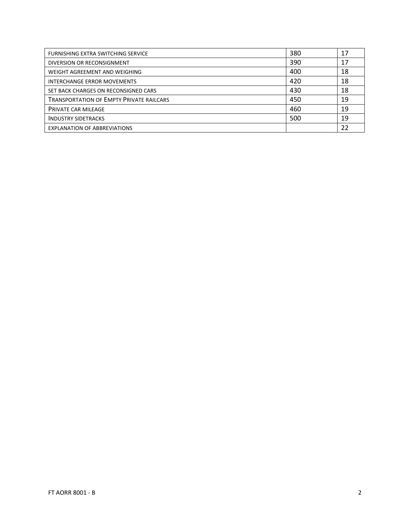| FURNISHING EXTRA SWITCHING SERVICE              | 380 | 17 |
|-------------------------------------------------|-----|----|
| DIVERSION OR RECONSIGNMENT                      | 390 | 17 |
| WEIGHT AGREEMENT AND WEIGHING                   | 400 | 18 |
| <b>INTERCHANGE ERROR MOVEMENTS</b>              | 420 | 18 |
| SET BACK CHARGES ON RECONSIGNED CARS            | 430 | 18 |
| <b>TRANSPORTATION OF EMPTY PRIVATE RAILCARS</b> | 450 | 19 |
| <b>PRIVATE CAR MILEAGE</b>                      | 460 | 19 |
| <b>INDUSTRY SIDETRACKS</b>                      | 500 | 19 |
| <b>EXPLANATION OF ABBREVIATIONS</b>             |     | 22 |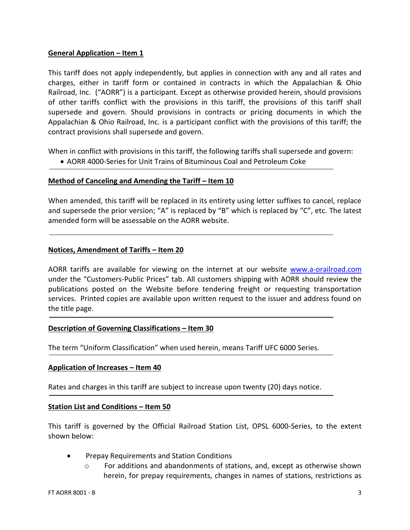#### **General Application – Item 1**

This tariff does not apply independently, but applies in connection with any and all rates and charges, either in tariff form or contained in contracts in which the Appalachian & Ohio Railroad, Inc. ("AORR") is a participant. Except as otherwise provided herein, should provisions of other tariffs conflict with the provisions in this tariff, the provisions of this tariff shall supersede and govern. Should provisions in contracts or pricing documents in which the Appalachian & Ohio Railroad, Inc. is a participant conflict with the provisions of this tariff; the contract provisions shall supersede and govern.

When in conflict with provisions in this tariff, the following tariffs shall supersede and govern:

• AORR 4000-Series for Unit Trains of Bituminous Coal and Petroleum Coke

#### **Method of Canceling and Amending the Tariff – Item 10**

When amended, this tariff will be replaced in its entirety using letter suffixes to cancel, replace and supersede the prior version; "A" is replaced by "B" which is replaced by "C", etc. The latest amended form will be assessable on the AORR website.

#### **Notices, Amendment of Tariffs – Item 20**

AORR tariffs are available for viewing on the internet at our website [www.a-orailroad.com](http://www.a-orailroad.com/) under the "Customers-Public Prices" tab. All customers shipping with AORR should review the publications posted on the Website before tendering freight or requesting transportation services. Printed copies are available upon written request to the issuer and address found on the title page.

#### **Description of Governing Classifications – Item 30**

The term "Uniform Classification" when used herein, means Tariff UFC 6000 Series.

#### **Application of Increases – Item 40**

Rates and charges in this tariff are subject to increase upon twenty (20) days notice.

#### **Station List and Conditions – Item 50**

This tariff is governed by the Official Railroad Station List, OPSL 6000-Series, to the extent shown below:

- Prepay Requirements and Station Conditions
	- $\circ$  For additions and abandonments of stations, and, except as otherwise shown herein, for prepay requirements, changes in names of stations, restrictions as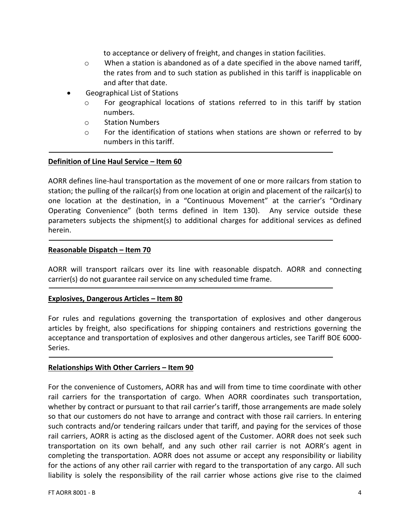to acceptance or delivery of freight, and changes in station facilities.

- $\circ$  When a station is abandoned as of a date specified in the above named tariff, the rates from and to such station as published in this tariff is inapplicable on and after that date.
- Geographical List of Stations
	- o For geographical locations of stations referred to in this tariff by station numbers.
	- o Station Numbers
	- $\circ$  For the identification of stations when stations are shown or referred to by numbers in this tariff.

#### **Definition of Line Haul Service – Item 60**

AORR defines line-haul transportation as the movement of one or more railcars from station to station; the pulling of the railcar(s) from one location at origin and placement of the railcar(s) to one location at the destination, in a "Continuous Movement" at the carrier's "Ordinary Operating Convenience" (both terms defined in Item 130). Any service outside these parameters subjects the shipment(s) to additional charges for additional services as defined herein.

#### **Reasonable Dispatch – Item 70**

AORR will transport railcars over its line with reasonable dispatch. AORR and connecting carrier(s) do not guarantee rail service on any scheduled time frame.

#### **Explosives, Dangerous Articles – Item 80**

For rules and regulations governing the transportation of explosives and other dangerous articles by freight, also specifications for shipping containers and restrictions governing the acceptance and transportation of explosives and other dangerous articles, see Tariff BOE 6000- Series.

#### **Relationships With Other Carriers – Item 90**

For the convenience of Customers, AORR has and will from time to time coordinate with other rail carriers for the transportation of cargo. When AORR coordinates such transportation, whether by contract or pursuant to that rail carrier's tariff, those arrangements are made solely so that our customers do not have to arrange and contract with those rail carriers. In entering such contracts and/or tendering railcars under that tariff, and paying for the services of those rail carriers, AORR is acting as the disclosed agent of the Customer. AORR does not seek such transportation on its own behalf, and any such other rail carrier is not AORR's agent in completing the transportation. AORR does not assume or accept any responsibility or liability for the actions of any other rail carrier with regard to the transportation of any cargo. All such liability is solely the responsibility of the rail carrier whose actions give rise to the claimed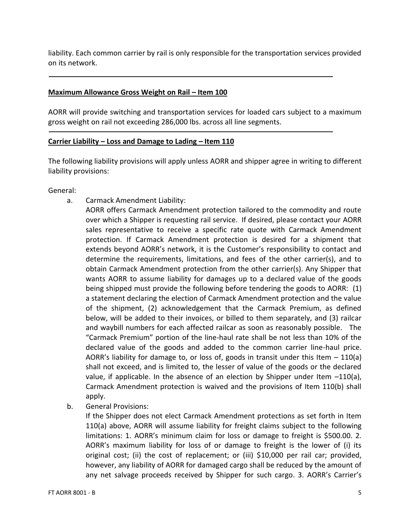liability. Each common carrier by rail is only responsible for the transportation services provided on its network.

#### **Maximum Allowance Gross Weight on Rail – Item 100**

AORR will provide switching and transportation services for loaded cars subject to a maximum gross weight on rail not exceeding 286,000 lbs. across all line segments.

#### **Carrier Liability – Loss and Damage to Lading – Item 110**

The following liability provisions will apply unless AORR and shipper agree in writing to different liability provisions:

General:

- a. Carmack Amendment Liability:
	- AORR offers Carmack Amendment protection tailored to the commodity and route over which a Shipper is requesting rail service. If desired, please contact your AORR sales representative to receive a specific rate quote with Carmack Amendment protection. If Carmack Amendment protection is desired for a shipment that extends beyond AORR's network, it is the Customer's responsibility to contact and determine the requirements, limitations, and fees of the other carrier(s), and to obtain Carmack Amendment protection from the other carrier(s). Any Shipper that wants AORR to assume liability for damages up to a declared value of the goods being shipped must provide the following before tendering the goods to AORR: (1) a statement declaring the election of Carmack Amendment protection and the value of the shipment, (2) acknowledgement that the Carmack Premium, as defined below, will be added to their invoices, or billed to them separately, and (3) railcar and waybill numbers for each affected railcar as soon as reasonably possible. The "Carmack Premium" portion of the line-haul rate shall be not less than 10% of the declared value of the goods and added to the common carrier line-haul price. AORR's liability for damage to, or loss of, goods in transit under this Item  $-110(a)$ shall not exceed, and is limited to, the lesser of value of the goods or the declared value, if applicable. In the absence of an election by Shipper under Item  $-110(a)$ , Carmack Amendment protection is waived and the provisions of Item 110(b) shall apply.
- b. General Provisions:

If the Shipper does not elect Carmack Amendment protections as set forth in Item 110(a) above, AORR will assume liability for freight claims subject to the following limitations: 1. AORR's minimum claim for loss or damage to freight is \$500.00. 2. AORR's maximum liability for loss of or damage to freight is the lower of (i) its original cost; (ii) the cost of replacement; or (iii) \$10,000 per rail car; provided, however, any liability of AORR for damaged cargo shall be reduced by the amount of any net salvage proceeds received by Shipper for such cargo. 3. AORR's Carrier's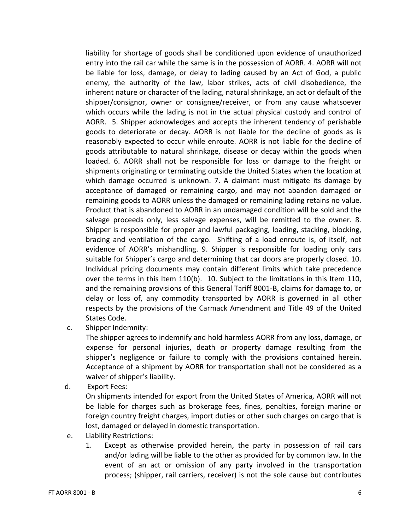liability for shortage of goods shall be conditioned upon evidence of unauthorized entry into the rail car while the same is in the possession of AORR. 4. AORR will not be liable for loss, damage, or delay to lading caused by an Act of God, a public enemy, the authority of the law, labor strikes, acts of civil disobedience, the inherent nature or character of the lading, natural shrinkage, an act or default of the shipper/consignor, owner or consignee/receiver, or from any cause whatsoever which occurs while the lading is not in the actual physical custody and control of AORR. 5. Shipper acknowledges and accepts the inherent tendency of perishable goods to deteriorate or decay. AORR is not liable for the decline of goods as is reasonably expected to occur while enroute. AORR is not liable for the decline of goods attributable to natural shrinkage, disease or decay within the goods when loaded. 6. AORR shall not be responsible for loss or damage to the freight or shipments originating or terminating outside the United States when the location at which damage occurred is unknown. 7. A claimant must mitigate its damage by acceptance of damaged or remaining cargo, and may not abandon damaged or remaining goods to AORR unless the damaged or remaining lading retains no value. Product that is abandoned to AORR in an undamaged condition will be sold and the salvage proceeds only, less salvage expenses, will be remitted to the owner. 8. Shipper is responsible for proper and lawful packaging, loading, stacking, blocking, bracing and ventilation of the cargo. Shifting of a load enroute is, of itself, not evidence of AORR's mishandling. 9. Shipper is responsible for loading only cars suitable for Shipper's cargo and determining that car doors are properly closed. 10. Individual pricing documents may contain different limits which take precedence over the terms in this Item 110(b). 10. Subject to the limitations in this Item 110, and the remaining provisions of this General Tariff 8001-B, claims for damage to, or delay or loss of, any commodity transported by AORR is governed in all other respects by the provisions of the Carmack Amendment and Title 49 of the United States Code.

c. Shipper Indemnity:

The shipper agrees to indemnify and hold harmless AORR from any loss, damage, or expense for personal injuries, death or property damage resulting from the shipper's negligence or failure to comply with the provisions contained herein. Acceptance of a shipment by AORR for transportation shall not be considered as a waiver of shipper's liability.

d. Export Fees:

On shipments intended for export from the United States of America, AORR will not be liable for charges such as brokerage fees, fines, penalties, foreign marine or foreign country freight charges, import duties or other such charges on cargo that is lost, damaged or delayed in domestic transportation.

- e. Liability Restrictions:
	- 1. Except as otherwise provided herein, the party in possession of rail cars and/or lading will be liable to the other as provided for by common law. In the event of an act or omission of any party involved in the transportation process; (shipper, rail carriers, receiver) is not the sole cause but contributes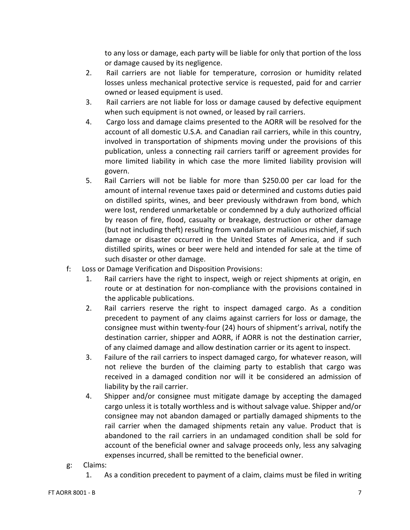to any loss or damage, each party will be liable for only that portion of the loss or damage caused by its negligence.

- 2. Rail carriers are not liable for temperature, corrosion or humidity related losses unless mechanical protective service is requested, paid for and carrier owned or leased equipment is used.
- 3. Rail carriers are not liable for loss or damage caused by defective equipment when such equipment is not owned, or leased by rail carriers.
- 4. Cargo loss and damage claims presented to the AORR will be resolved for the account of all domestic U.S.A. and Canadian rail carriers, while in this country, involved in transportation of shipments moving under the provisions of this publication, unless a connecting rail carriers tariff or agreement provides for more limited liability in which case the more limited liability provision will govern.
- 5. Rail Carriers will not be liable for more than \$250.00 per car load for the amount of internal revenue taxes paid or determined and customs duties paid on distilled spirits, wines, and beer previously withdrawn from bond, which were lost, rendered unmarketable or condemned by a duly authorized official by reason of fire, flood, casualty or breakage, destruction or other damage (but not including theft) resulting from vandalism or malicious mischief, if such damage or disaster occurred in the United States of America, and if such distilled spirits, wines or beer were held and intended for sale at the time of such disaster or other damage.
- f: Loss or Damage Verification and Disposition Provisions:
	- 1. Rail carriers have the right to inspect, weigh or reject shipments at origin, en route or at destination for non-compliance with the provisions contained in the applicable publications.
	- 2. Rail carriers reserve the right to inspect damaged cargo. As a condition precedent to payment of any claims against carriers for loss or damage, the consignee must within twenty-four (24) hours of shipment's arrival, notify the destination carrier, shipper and AORR, if AORR is not the destination carrier, of any claimed damage and allow destination carrier or its agent to inspect.
	- 3. Failure of the rail carriers to inspect damaged cargo, for whatever reason, will not relieve the burden of the claiming party to establish that cargo was received in a damaged condition nor will it be considered an admission of liability by the rail carrier.
	- 4. Shipper and/or consignee must mitigate damage by accepting the damaged cargo unless it is totally worthless and is without salvage value. Shipper and/or consignee may not abandon damaged or partially damaged shipments to the rail carrier when the damaged shipments retain any value. Product that is abandoned to the rail carriers in an undamaged condition shall be sold for account of the beneficial owner and salvage proceeds only, less any salvaging expenses incurred, shall be remitted to the beneficial owner.
- g: Claims:
	- 1. As a condition precedent to payment of a claim, claims must be filed in writing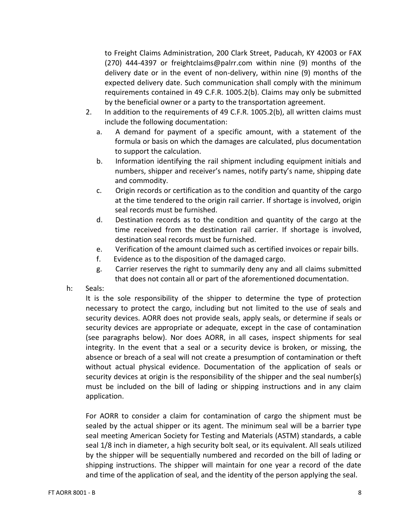to Freight Claims Administration, 200 Clark Street, Paducah, KY 42003 or FAX (270) 444-4397 or freightclaims@palrr.com within nine (9) months of the delivery date or in the event of non-delivery, within nine (9) months of the expected delivery date. Such communication shall comply with the minimum requirements contained in 49 C.F.R. 1005.2(b). Claims may only be submitted by the beneficial owner or a party to the transportation agreement.

- 2. In addition to the requirements of 49 C.F.R. 1005.2(b), all written claims must include the following documentation:
	- a. A demand for payment of a specific amount, with a statement of the formula or basis on which the damages are calculated, plus documentation to support the calculation.
	- b. Information identifying the rail shipment including equipment initials and numbers, shipper and receiver's names, notify party's name, shipping date and commodity.
	- c. Origin records or certification as to the condition and quantity of the cargo at the time tendered to the origin rail carrier. If shortage is involved, origin seal records must be furnished.
	- d. Destination records as to the condition and quantity of the cargo at the time received from the destination rail carrier. If shortage is involved, destination seal records must be furnished.
	- e. Verification of the amount claimed such as certified invoices or repair bills.
	- f. Evidence as to the disposition of the damaged cargo.
	- g. Carrier reserves the right to summarily deny any and all claims submitted that does not contain all or part of the aforementioned documentation.
- h: Seals:

It is the sole responsibility of the shipper to determine the type of protection necessary to protect the cargo, including but not limited to the use of seals and security devices. AORR does not provide seals, apply seals, or determine if seals or security devices are appropriate or adequate, except in the case of contamination (see paragraphs below). Nor does AORR, in all cases, inspect shipments for seal integrity. In the event that a seal or a security device is broken, or missing, the absence or breach of a seal will not create a presumption of contamination or theft without actual physical evidence. Documentation of the application of seals or security devices at origin is the responsibility of the shipper and the seal number(s) must be included on the bill of lading or shipping instructions and in any claim application.

For AORR to consider a claim for contamination of cargo the shipment must be sealed by the actual shipper or its agent. The minimum seal will be a barrier type seal meeting American Society for Testing and Materials (ASTM) standards, a cable seal 1/8 inch in diameter, a high security bolt seal, or its equivalent. All seals utilized by the shipper will be sequentially numbered and recorded on the bill of lading or shipping instructions. The shipper will maintain for one year a record of the date and time of the application of seal, and the identity of the person applying the seal.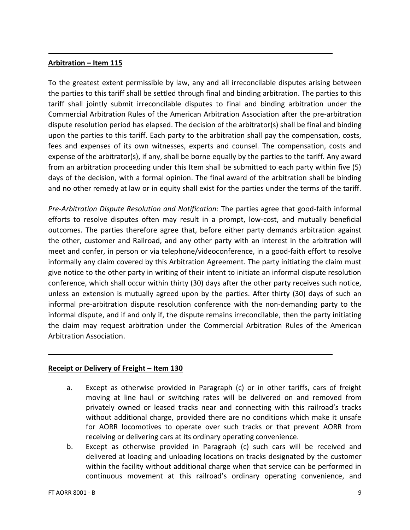#### **Arbitration – Item 115**

To the greatest extent permissible by law, any and all irreconcilable disputes arising between the parties to this tariff shall be settled through final and binding arbitration. The parties to this tariff shall jointly submit irreconcilable disputes to final and binding arbitration under the Commercial Arbitration Rules of the American Arbitration Association after the pre-arbitration dispute resolution period has elapsed. The decision of the arbitrator(s) shall be final and binding upon the parties to this tariff. Each party to the arbitration shall pay the compensation, costs, fees and expenses of its own witnesses, experts and counsel. The compensation, costs and expense of the arbitrator(s), if any, shall be borne equally by the parties to the tariff. Any award from an arbitration proceeding under this Item shall be submitted to each party within five (5) days of the decision, with a formal opinion. The final award of the arbitration shall be binding and no other remedy at law or in equity shall exist for the parties under the terms of the tariff.

*Pre-Arbitration Dispute Resolution and Notification*: The parties agree that good-faith informal efforts to resolve disputes often may result in a prompt, low-cost, and mutually beneficial outcomes. The parties therefore agree that, before either party demands arbitration against the other, customer and Railroad, and any other party with an interest in the arbitration will meet and confer, in person or via telephone/videoconference, in a good-faith effort to resolve informally any claim covered by this Arbitration Agreement. The party initiating the claim must give notice to the other party in writing of their intent to initiate an informal dispute resolution conference, which shall occur within thirty (30) days after the other party receives such notice, unless an extension is mutually agreed upon by the parties. After thirty (30) days of such an informal pre-arbitration dispute resolution conference with the non-demanding party to the informal dispute, and if and only if, the dispute remains irreconcilable, then the party initiating the claim may request arbitration under the Commercial Arbitration Rules of the American Arbitration Association.

#### **Receipt or Delivery of Freight – Item 130**

- a. Except as otherwise provided in Paragraph (c) or in other tariffs, cars of freight moving at line haul or switching rates will be delivered on and removed from privately owned or leased tracks near and connecting with this railroad's tracks without additional charge, provided there are no conditions which make it unsafe for AORR locomotives to operate over such tracks or that prevent AORR from receiving or delivering cars at its ordinary operating convenience.
- b. Except as otherwise provided in Paragraph (c) such cars will be received and delivered at loading and unloading locations on tracks designated by the customer within the facility without additional charge when that service can be performed in continuous movement at this railroad's ordinary operating convenience, and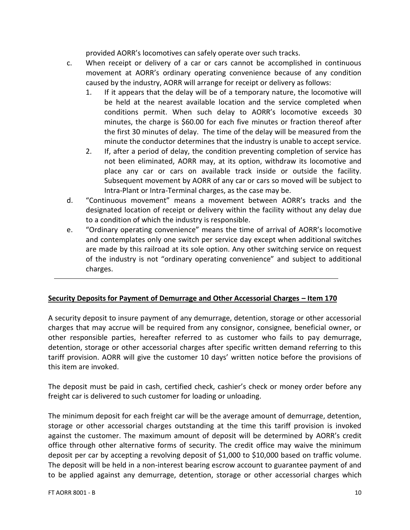provided AORR's locomotives can safely operate over such tracks.

- c. When receipt or delivery of a car or cars cannot be accomplished in continuous movement at AORR's ordinary operating convenience because of any condition caused by the industry, AORR will arrange for receipt or delivery as follows:
	- 1. If it appears that the delay will be of a temporary nature, the locomotive will be held at the nearest available location and the service completed when conditions permit. When such delay to AORR's locomotive exceeds 30 minutes, the charge is \$60.00 for each five minutes or fraction thereof after the first 30 minutes of delay. The time of the delay will be measured from the minute the conductor determines that the industry is unable to accept service.
	- 2. If, after a period of delay, the condition preventing completion of service has not been eliminated, AORR may, at its option, withdraw its locomotive and place any car or cars on available track inside or outside the facility. Subsequent movement by AORR of any car or cars so moved will be subject to Intra-Plant or Intra-Terminal charges, as the case may be.
- d. "Continuous movement" means a movement between AORR's tracks and the designated location of receipt or delivery within the facility without any delay due to a condition of which the industry is responsible.
- e. "Ordinary operating convenience" means the time of arrival of AORR's locomotive and contemplates only one switch per service day except when additional switches are made by this railroad at its sole option. Any other switching service on request of the industry is not "ordinary operating convenience" and subject to additional charges.

### **Security Deposits for Payment of Demurrage and Other Accessorial Charges – Item 170**

A security deposit to insure payment of any demurrage, detention, storage or other accessorial charges that may accrue will be required from any consignor, consignee, beneficial owner, or other responsible parties, hereafter referred to as customer who fails to pay demurrage, detention, storage or other accessorial charges after specific written demand referring to this tariff provision. AORR will give the customer 10 days' written notice before the provisions of this item are invoked.

The deposit must be paid in cash, certified check, cashier's check or money order before any freight car is delivered to such customer for loading or unloading.

The minimum deposit for each freight car will be the average amount of demurrage, detention, storage or other accessorial charges outstanding at the time this tariff provision is invoked against the customer. The maximum amount of deposit will be determined by AORR's credit office through other alternative forms of security. The credit office may waive the minimum deposit per car by accepting a revolving deposit of \$1,000 to \$10,000 based on traffic volume. The deposit will be held in a non-interest bearing escrow account to guarantee payment of and to be applied against any demurrage, detention, storage or other accessorial charges which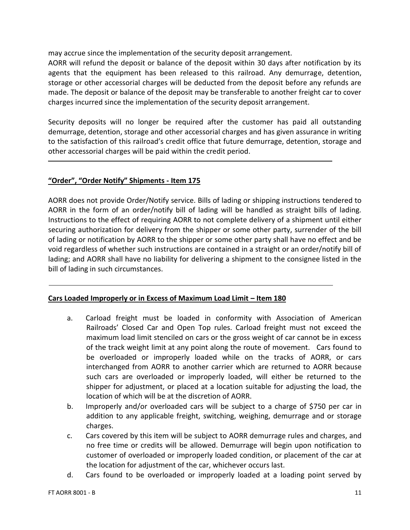may accrue since the implementation of the security deposit arrangement.

AORR will refund the deposit or balance of the deposit within 30 days after notification by its agents that the equipment has been released to this railroad. Any demurrage, detention, storage or other accessorial charges will be deducted from the deposit before any refunds are made. The deposit or balance of the deposit may be transferable to another freight car to cover charges incurred since the implementation of the security deposit arrangement.

Security deposits will no longer be required after the customer has paid all outstanding demurrage, detention, storage and other accessorial charges and has given assurance in writing to the satisfaction of this railroad's credit office that future demurrage, detention, storage and other accessorial charges will be paid within the credit period.

#### **"Order", "Order Notify" Shipments - Item 175**

AORR does not provide Order/Notify service. Bills of lading or shipping instructions tendered to AORR in the form of an order/notify bill of lading will be handled as straight bills of lading. Instructions to the effect of requiring AORR to not complete delivery of a shipment until either securing authorization for delivery from the shipper or some other party, surrender of the bill of lading or notification by AORR to the shipper or some other party shall have no effect and be void regardless of whether such instructions are contained in a straight or an order/notify bill of lading; and AORR shall have no liability for delivering a shipment to the consignee listed in the bill of lading in such circumstances.

#### **Cars Loaded Improperly or in Excess of Maximum Load Limit – Item 180**

- a. Carload freight must be loaded in conformity with Association of American Railroads' Closed Car and Open Top rules. Carload freight must not exceed the maximum load limit stenciled on cars or the gross weight of car cannot be in excess of the track weight limit at any point along the route of movement. Cars found to be overloaded or improperly loaded while on the tracks of AORR, or cars interchanged from AORR to another carrier which are returned to AORR because such cars are overloaded or improperly loaded, will either be returned to the shipper for adjustment, or placed at a location suitable for adjusting the load, the location of which will be at the discretion of AORR.
- b. Improperly and/or overloaded cars will be subject to a charge of \$750 per car in addition to any applicable freight, switching, weighing, demurrage and or storage charges.
- c. Cars covered by this item will be subject to AORR demurrage rules and charges, and no free time or credits will be allowed. Demurrage will begin upon notification to customer of overloaded or improperly loaded condition, or placement of the car at the location for adjustment of the car, whichever occurs last.
- d. Cars found to be overloaded or improperly loaded at a loading point served by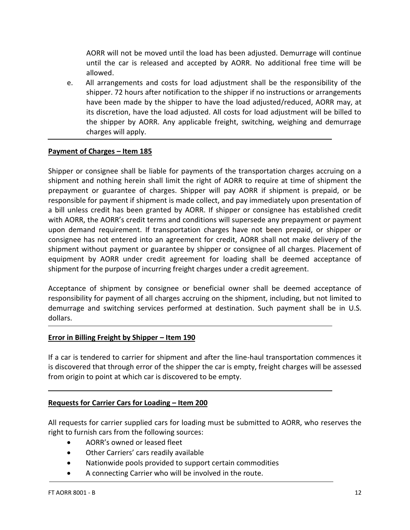AORR will not be moved until the load has been adjusted. Demurrage will continue until the car is released and accepted by AORR. No additional free time will be allowed.

e. All arrangements and costs for load adjustment shall be the responsibility of the shipper. 72 hours after notification to the shipper if no instructions or arrangements have been made by the shipper to have the load adjusted/reduced, AORR may, at its discretion, have the load adjusted. All costs for load adjustment will be billed to the shipper by AORR. Any applicable freight, switching, weighing and demurrage charges will apply.

#### **Payment of Charges – Item 185**

Shipper or consignee shall be liable for payments of the transportation charges accruing on a shipment and nothing herein shall limit the right of AORR to require at time of shipment the prepayment or guarantee of charges. Shipper will pay AORR if shipment is prepaid, or be responsible for payment if shipment is made collect, and pay immediately upon presentation of a bill unless credit has been granted by AORR. If shipper or consignee has established credit with AORR, the AORR's credit terms and conditions will supersede any prepayment or payment upon demand requirement. If transportation charges have not been prepaid, or shipper or consignee has not entered into an agreement for credit, AORR shall not make delivery of the shipment without payment or guarantee by shipper or consignee of all charges. Placement of equipment by AORR under credit agreement for loading shall be deemed acceptance of shipment for the purpose of incurring freight charges under a credit agreement.

Acceptance of shipment by consignee or beneficial owner shall be deemed acceptance of responsibility for payment of all charges accruing on the shipment, including, but not limited to demurrage and switching services performed at destination. Such payment shall be in U.S. dollars.

#### **Error in Billing Freight by Shipper – Item 190**

If a car is tendered to carrier for shipment and after the line-haul transportation commences it is discovered that through error of the shipper the car is empty, freight charges will be assessed from origin to point at which car is discovered to be empty.

#### **Requests for Carrier Cars for Loading – Item 200**

All requests for carrier supplied cars for loading must be submitted to AORR, who reserves the right to furnish cars from the following sources:

- AORR's owned or leased fleet
- Other Carriers' cars readily available
- Nationwide pools provided to support certain commodities
- A connecting Carrier who will be involved in the route.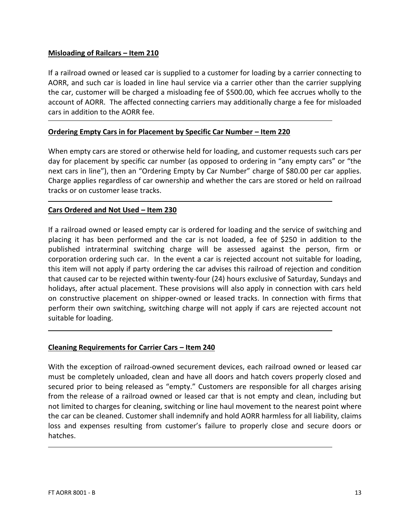#### **Misloading of Railcars – Item 210**

If a railroad owned or leased car is supplied to a customer for loading by a carrier connecting to AORR, and such car is loaded in line haul service via a carrier other than the carrier supplying the car, customer will be charged a misloading fee of \$500.00, which fee accrues wholly to the account of AORR. The affected connecting carriers may additionally charge a fee for misloaded cars in addition to the AORR fee.

#### **Ordering Empty Cars in for Placement by Specific Car Number - Item 220**

When empty cars are stored or otherwise held for loading, and customer requests such cars per day for placement by specific car number (as opposed to ordering in "any empty cars" or "the next cars in line"), then an "Ordering Empty by Car Number" charge of \$80.00 per car applies. Charge applies regardless of car ownership and whether the cars are stored or held on railroad tracks or on customer lease tracks.

#### **Cars Ordered and Not Used – Item 230**

If a railroad owned or leased empty car is ordered for loading and the service of switching and placing it has been performed and the car is not loaded, a fee of \$250 in addition to the published intraterminal switching charge will be assessed against the person, firm or corporation ordering such car. In the event a car is rejected account not suitable for loading, this item will not apply if party ordering the car advises this railroad of rejection and condition that caused car to be rejected within twenty-four (24) hours exclusive of Saturday, Sundays and holidays, after actual placement. These provisions will also apply in connection with cars held on constructive placement on shipper-owned or leased tracks. In connection with firms that perform their own switching, switching charge will not apply if cars are rejected account not suitable for loading.

#### **Cleaning Requirements for Carrier Cars – Item 240**

With the exception of railroad-owned securement devices, each railroad owned or leased car must be completely unloaded, clean and have all doors and hatch covers properly closed and secured prior to being released as "empty." Customers are responsible for all charges arising from the release of a railroad owned or leased car that is not empty and clean, including but not limited to charges for cleaning, switching or line haul movement to the nearest point where the car can be cleaned. Customer shall indemnify and hold AORR harmless for all liability, claims loss and expenses resulting from customer's failure to properly close and secure doors or hatches.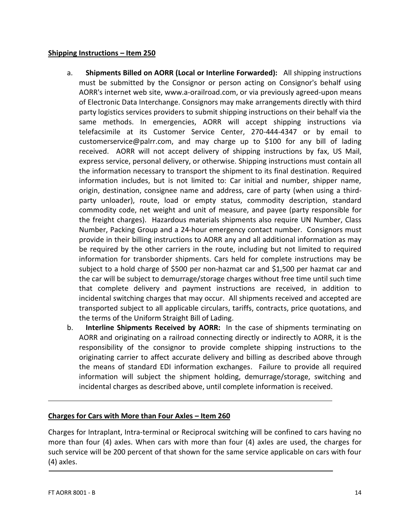#### **Shipping Instructions – Item 250**

- a. **Shipments Billed on AORR (Local or Interline Forwarded):** All shipping instructions must be submitted by the Consignor or person acting on Consignor's behalf using AORR's internet web site, www.a-orailroad.com, or via previously agreed-upon means of Electronic Data Interchange. Consignors may make arrangements directly with third party logistics services providers to submit shipping instructions on their behalf via the same methods. In emergencies, AORR will accept shipping instructions via telefacsimile at its Customer Service Center, 270-444-4347 or by email to customerservice@palrr.com, and may charge up to \$100 for any bill of lading received. AORR will not accept delivery of shipping instructions by fax, US Mail, express service, personal delivery, or otherwise. Shipping instructions must contain all the information necessary to transport the shipment to its final destination. Required information includes, but is not limited to: Car initial and number, shipper name, origin, destination, consignee name and address, care of party (when using a thirdparty unloader), route, load or empty status, commodity description, standard commodity code, net weight and unit of measure, and payee (party responsible for the freight charges). Hazardous materials shipments also require UN Number, Class Number, Packing Group and a 24-hour emergency contact number. Consignors must provide in their billing instructions to AORR any and all additional information as may be required by the other carriers in the route, including but not limited to required information for transborder shipments. Cars held for complete instructions may be subject to a hold charge of \$500 per non-hazmat car and \$1,500 per hazmat car and the car will be subject to demurrage/storage charges without free time until such time that complete delivery and payment instructions are received, in addition to incidental switching charges that may occur. All shipments received and accepted are transported subject to all applicable circulars, tariffs, contracts, price quotations, and the terms of the Uniform Straight Bill of Lading.
- b. **Interline Shipments Received by AORR:** In the case of shipments terminating on AORR and originating on a railroad connecting directly or indirectly to AORR, it is the responsibility of the consignor to provide complete shipping instructions to the originating carrier to affect accurate delivery and billing as described above through the means of standard EDI information exchanges. Failure to provide all required information will subject the shipment holding, demurrage/storage, switching and incidental charges as described above, until complete information is received.

#### **Charges for Cars with More than Four Axles – Item 260**

Charges for Intraplant, Intra-terminal or Reciprocal switching will be confined to cars having no more than four (4) axles. When cars with more than four (4) axles are used, the charges for such service will be 200 percent of that shown for the same service applicable on cars with four (4) axles.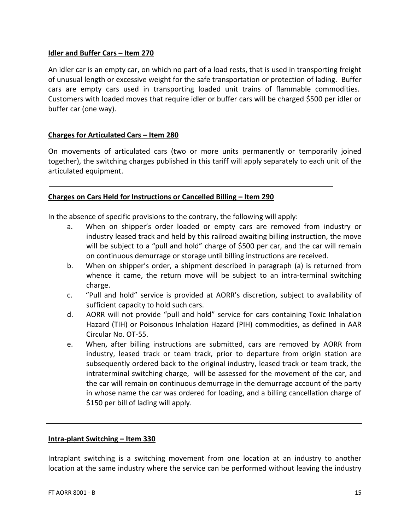#### **Idler and Buffer Cars – Item 270**

An idler car is an empty car, on which no part of a load rests, that is used in transporting freight of unusual length or excessive weight for the safe transportation or protection of lading. Buffer cars are empty cars used in transporting loaded unit trains of flammable commodities. Customers with loaded moves that require idler or buffer cars will be charged \$500 per idler or buffer car (one way).

#### **Charges for Articulated Cars – Item 280**

On movements of articulated cars (two or more units permanently or temporarily joined together), the switching charges published in this tariff will apply separately to each unit of the articulated equipment.

#### **Charges on Cars Held for Instructions or Cancelled Billing – Item 290**

In the absence of specific provisions to the contrary, the following will apply:

- a. When on shipper's order loaded or empty cars are removed from industry or industry leased track and held by this railroad awaiting billing instruction, the move will be subject to a "pull and hold" charge of \$500 per car, and the car will remain on continuous demurrage or storage until billing instructions are received.
- b. When on shipper's order, a shipment described in paragraph (a) is returned from whence it came, the return move will be subject to an intra-terminal switching charge.
- c. "Pull and hold" service is provided at AORR's discretion, subject to availability of sufficient capacity to hold such cars.
- d. AORR will not provide "pull and hold" service for cars containing Toxic Inhalation Hazard (TIH) or Poisonous Inhalation Hazard (PIH) commodities, as defined in AAR Circular No. OT-55.
- e. When, after billing instructions are submitted, cars are removed by AORR from industry, leased track or team track, prior to departure from origin station are subsequently ordered back to the original industry, leased track or team track, the intraterminal switching charge, will be assessed for the movement of the car, and the car will remain on continuous demurrage in the demurrage account of the party in whose name the car was ordered for loading, and a billing cancellation charge of \$150 per bill of lading will apply.

#### **Intra-plant Switching – Item 330**

Intraplant switching is a switching movement from one location at an industry to another location at the same industry where the service can be performed without leaving the industry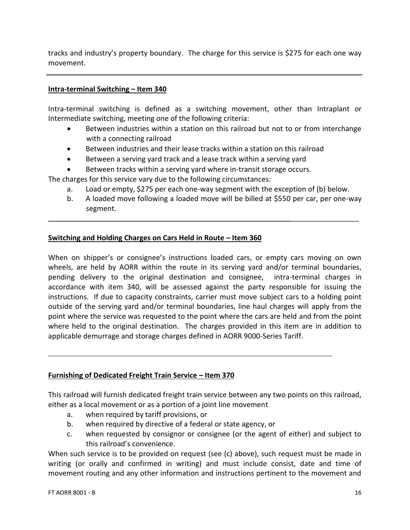tracks and industry's property boundary. The charge for this service is \$275 for each one way movement.

#### **Intra-terminal Switching – Item 340**

Intra-terminal switching is defined as a switching movement, other than Intraplant or Intermediate switching, meeting one of the following criteria:

- Between industries within a station on this railroad but not to or from interchange with a connecting railroad
- Between industries and their lease tracks within a station on this railroad
- Between a serving yard track and a lease track within a serving yard
- Between tracks within a serving yard where in-transit storage occurs.

The charges for this service vary due to the following circumstances:

- a. Load or empty, \$275 per each one-way segment with the exception of (b) below.
- b. A loaded move following a loaded move will be billed at \$550 per car, per one-way segment.

#### **Switching and Holding Charges on Cars Held in Route – Item 360**

When on shipper's or consignee's instructions loaded cars, or empty cars moving on own wheels, are held by AORR within the route in its serving yard and/or terminal boundaries, pending delivery to the original destination and consignee, intra-terminal charges in accordance with item 340, will be assessed against the party responsible for issuing the instructions. If due to capacity constraints, carrier must move subject cars to a holding point outside of the serving yard and/or terminal boundaries, line haul charges will apply from the point where the service was requested to the point where the cars are held and from the point where held to the original destination. The charges provided in this item are in addition to applicable demurrage and storage charges defined in AORR 9000-Series Tariff.

#### **Furnishing of Dedicated Freight Train Service – Item 370**

This railroad will furnish dedicated freight train service between any two points on this railroad, either as a local movement or as a portion of a joint line movement

- a. when required by tariff provisions, or
- b. when required by directive of a federal or state agency, or
- c. when requested by consignor or consignee (or the agent of either) and subject to this railroad's convenience.

When such service is to be provided on request (see (c) above), such request must be made in writing (or orally and confirmed in writing) and must include consist, date and time of movement routing and any other information and instructions pertinent to the movement and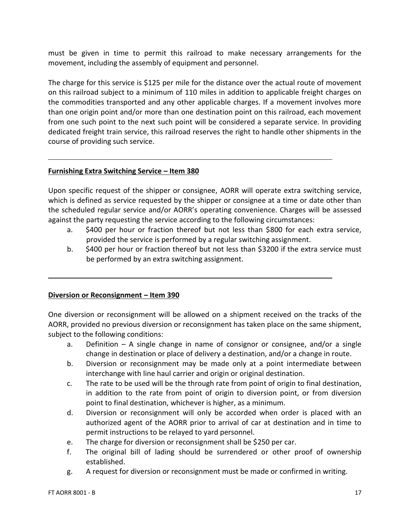must be given in time to permit this railroad to make necessary arrangements for the movement, including the assembly of equipment and personnel.

The charge for this service is \$125 per mile for the distance over the actual route of movement on this railroad subject to a minimum of 110 miles in addition to applicable freight charges on the commodities transported and any other applicable charges. If a movement involves more than one origin point and/or more than one destination point on this railroad, each movement from one such point to the next such point will be considered a separate service. In providing dedicated freight train service, this railroad reserves the right to handle other shipments in the course of providing such service.

#### **Furnishing Extra Switching Service – Item 380**

Upon specific request of the shipper or consignee, AORR will operate extra switching service, which is defined as service requested by the shipper or consignee at a time or date other than the scheduled regular service and/or AORR's operating convenience. Charges will be assessed against the party requesting the service according to the following circumstances:

- a. \$400 per hour or fraction thereof but not less than \$800 for each extra service, provided the service is performed by a regular switching assignment.
- b. \$400 per hour or fraction thereof but not less than \$3200 if the extra service must be performed by an extra switching assignment.

### **Diversion or Reconsignment – Item 390**

One diversion or reconsignment will be allowed on a shipment received on the tracks of the AORR, provided no previous diversion or reconsignment has taken place on the same shipment, subject to the following conditions:

- a. Definition A single change in name of consignor or consignee, and/or a single change in destination or place of delivery a destination, and/or a change in route.
- b. Diversion or reconsignment may be made only at a point intermediate between interchange with line haul carrier and origin or original destination.
- c. The rate to be used will be the through rate from point of origin to final destination, in addition to the rate from point of origin to diversion point, or from diversion point to final destination, whichever is higher, as a minimum.
- d. Diversion or reconsignment will only be accorded when order is placed with an authorized agent of the AORR prior to arrival of car at destination and in time to permit instructions to be relayed to yard personnel.
- e. The charge for diversion or reconsignment shall be \$250 per car.
- f. The original bill of lading should be surrendered or other proof of ownership established.
- g. A request for diversion or reconsignment must be made or confirmed in writing.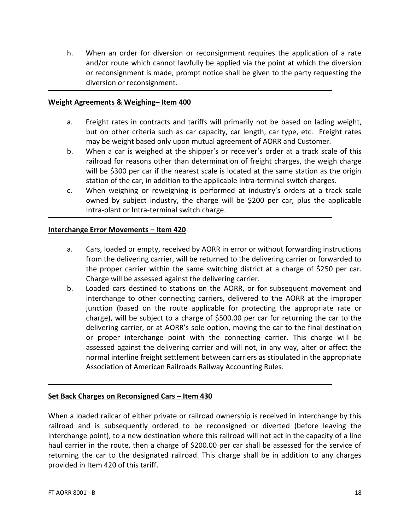h. When an order for diversion or reconsignment requires the application of a rate and/or route which cannot lawfully be applied via the point at which the diversion or reconsignment is made, prompt notice shall be given to the party requesting the diversion or reconsignment.

#### **Weight Agreements & Weighing– Item 400**

- a. Freight rates in contracts and tariffs will primarily not be based on lading weight, but on other criteria such as car capacity, car length, car type, etc. Freight rates may be weight based only upon mutual agreement of AORR and Customer.
- b. When a car is weighed at the shipper's or receiver's order at a track scale of this railroad for reasons other than determination of freight charges, the weigh charge will be \$300 per car if the nearest scale is located at the same station as the origin station of the car, in addition to the applicable Intra-terminal switch charges.
- c. When weighing or reweighing is performed at industry's orders at a track scale owned by subject industry, the charge will be \$200 per car, plus the applicable Intra-plant or Intra-terminal switch charge.

#### **Interchange Error Movements – Item 420**

- a. Cars, loaded or empty, received by AORR in error or without forwarding instructions from the delivering carrier, will be returned to the delivering carrier or forwarded to the proper carrier within the same switching district at a charge of \$250 per car. Charge will be assessed against the delivering carrier.
- b. Loaded cars destined to stations on the AORR, or for subsequent movement and interchange to other connecting carriers, delivered to the AORR at the improper junction (based on the route applicable for protecting the appropriate rate or charge), will be subject to a charge of \$500.00 per car for returning the car to the delivering carrier, or at AORR's sole option, moving the car to the final destination or proper interchange point with the connecting carrier. This charge will be assessed against the delivering carrier and will not, in any way, alter or affect the normal interline freight settlement between carriers as stipulated in the appropriate Association of American Railroads Railway Accounting Rules.

#### **Set Back Charges on Reconsigned Cars – Item 430**

When a loaded railcar of either private or railroad ownership is received in interchange by this railroad and is subsequently ordered to be reconsigned or diverted (before leaving the interchange point), to a new destination where this railroad will not act in the capacity of a line haul carrier in the route, then a charge of \$200.00 per car shall be assessed for the service of returning the car to the designated railroad. This charge shall be in addition to any charges provided in Item 420 of this tariff.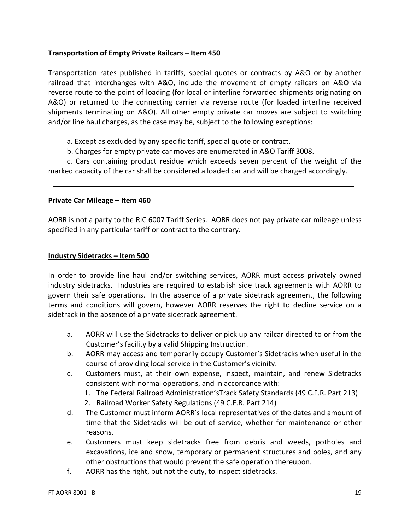#### **Transportation of Empty Private Railcars – Item 450**

Transportation rates published in tariffs, special quotes or contracts by A&O or by another railroad that interchanges with A&O, include the movement of empty railcars on A&O via reverse route to the point of loading (for local or interline forwarded shipments originating on A&O) or returned to the connecting carrier via reverse route (for loaded interline received shipments terminating on A&O). All other empty private car moves are subject to switching and/or line haul charges, as the case may be, subject to the following exceptions:

- a. Except as excluded by any specific tariff, special quote or contract.
- b. Charges for empty private car moves are enumerated in A&O Tariff 3008.

c. Cars containing product residue which exceeds seven percent of the weight of the marked capacity of the car shall be considered a loaded car and will be charged accordingly.

#### **Private Car Mileage – Item 460**

AORR is not a party to the RIC 6007 Tariff Series. AORR does not pay private car mileage unless specified in any particular tariff or contract to the contrary.

#### **Industry Sidetracks – Item 500**

In order to provide line haul and/or switching services, AORR must access privately owned industry sidetracks. Industries are required to establish side track agreements with AORR to govern their safe operations. In the absence of a private sidetrack agreement, the following terms and conditions will govern, however AORR reserves the right to decline service on a sidetrack in the absence of a private sidetrack agreement.

- a. AORR will use the Sidetracks to deliver or pick up any railcar directed to or from the Customer's facility by a valid Shipping Instruction.
- b. AORR may access and temporarily occupy Customer's Sidetracks when useful in the course of providing local service in the Customer's vicinity.
- c. Customers must, at their own expense, inspect, maintain, and renew Sidetracks consistent with normal operations, and in accordance with:
	- 1. The Federal Railroad Administration'sTrack Safety Standards (49 C.F.R. Part 213)
	- 2. Railroad Worker Safety Regulations (49 C.F.R. Part 214)
- d. The Customer must inform AORR's local representatives of the dates and amount of time that the Sidetracks will be out of service, whether for maintenance or other reasons.
- e. Customers must keep sidetracks free from debris and weeds, potholes and excavations, ice and snow, temporary or permanent structures and poles, and any other obstructions that would prevent the safe operation thereupon.
- f. AORR has the right, but not the duty, to inspect sidetracks.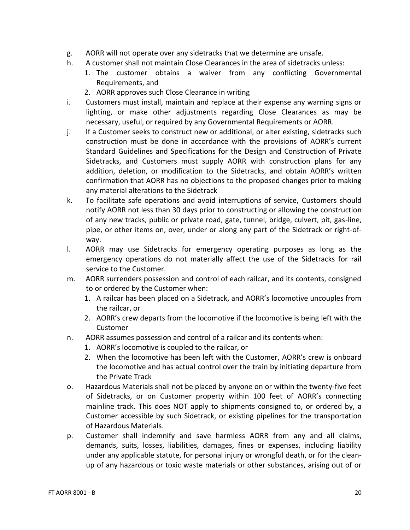- g. AORR will not operate over any sidetracks that we determine are unsafe.
- h. A customer shall not maintain Close Clearances in the area of sidetracks unless:
	- 1. The customer obtains a waiver from any conflicting Governmental Requirements, and
	- 2. AORR approves such Close Clearance in writing
- i. Customers must install, maintain and replace at their expense any warning signs or lighting, or make other adjustments regarding Close Clearances as may be necessary, useful, or required by any Governmental Requirements or AORR.
- j. If a Customer seeks to construct new or additional, or alter existing, sidetracks such construction must be done in accordance with the provisions of AORR's current Standard Guidelines and Specifications for the Design and Construction of Private Sidetracks, and Customers must supply AORR with construction plans for any addition, deletion, or modification to the Sidetracks, and obtain AORR's written confirmation that AORR has no objections to the proposed changes prior to making any material alterations to the Sidetrack
- k. To facilitate safe operations and avoid interruptions of service, Customers should notify AORR not less than 30 days prior to constructing or allowing the construction of any new tracks, public or private road, gate, tunnel, bridge, culvert, pit, gas-line, pipe, or other items on, over, under or along any part of the Sidetrack or right-ofway.
- l. AORR may use Sidetracks for emergency operating purposes as long as the emergency operations do not materially affect the use of the Sidetracks for rail service to the Customer.
- m. AORR surrenders possession and control of each railcar, and its contents, consigned to or ordered by the Customer when:
	- 1. A railcar has been placed on a Sidetrack, and AORR's locomotive uncouples from the railcar, or
	- 2. AORR's crew departs from the locomotive if the locomotive is being left with the Customer
- n. AORR assumes possession and control of a railcar and its contents when:
	- 1. AORR's locomotive is coupled to the railcar, or
	- 2. When the locomotive has been left with the Customer, AORR's crew is onboard the locomotive and has actual control over the train by initiating departure from the Private Track
- o. Hazardous Materials shall not be placed by anyone on or within the twenty-five feet of Sidetracks, or on Customer property within 100 feet of AORR's connecting mainline track. This does NOT apply to shipments consigned to, or ordered by, a Customer accessible by such Sidetrack, or existing pipelines for the transportation of Hazardous Materials.
- p. Customer shall indemnify and save harmless AORR from any and all claims, demands, suits, losses, liabilities, damages, fines or expenses, including liability under any applicable statute, for personal injury or wrongful death, or for the cleanup of any hazardous or toxic waste materials or other substances, arising out of or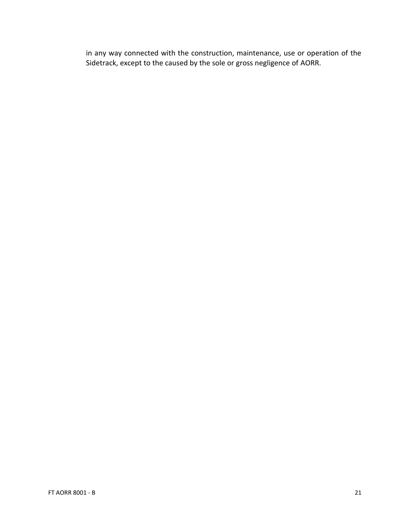in any way connected with the construction, maintenance, use or operation of the Sidetrack, except to the caused by the sole or gross negligence of AORR.